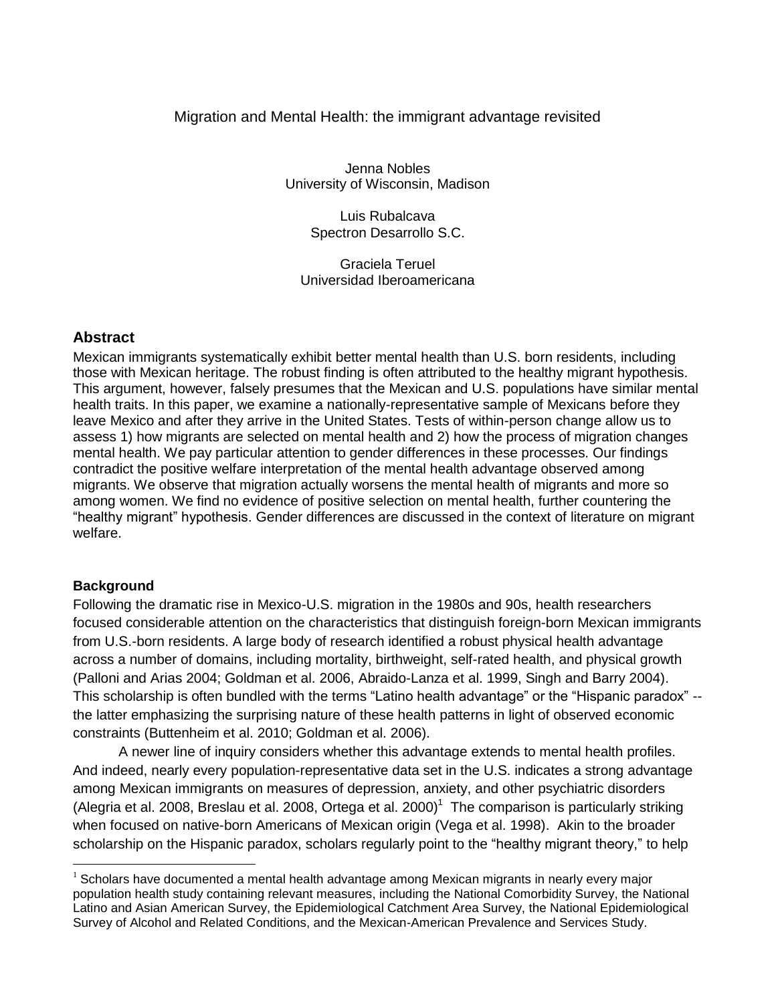# Migration and Mental Health: the immigrant advantage revisited

Jenna Nobles University of Wisconsin, Madison

> Luis Rubalcava Spectron Desarrollo S.C.

Graciela Teruel Universidad Iberoamericana

## **Abstract**

Mexican immigrants systematically exhibit better mental health than U.S. born residents, including those with Mexican heritage. The robust finding is often attributed to the healthy migrant hypothesis. This argument, however, falsely presumes that the Mexican and U.S. populations have similar mental health traits. In this paper, we examine a nationally-representative sample of Mexicans before they leave Mexico and after they arrive in the United States. Tests of within-person change allow us to assess 1) how migrants are selected on mental health and 2) how the process of migration changes mental health. We pay particular attention to gender differences in these processes. Our findings contradict the positive welfare interpretation of the mental health advantage observed among migrants. We observe that migration actually worsens the mental health of migrants and more so among women. We find no evidence of positive selection on mental health, further countering the "healthy migrant" hypothesis. Gender differences are discussed in the context of literature on migrant welfare.

## **Background**

 $\overline{a}$ 

Following the dramatic rise in Mexico-U.S. migration in the 1980s and 90s, health researchers focused considerable attention on the characteristics that distinguish foreign-born Mexican immigrants from U.S.-born residents. A large body of research identified a robust physical health advantage across a number of domains, including mortality, birthweight, self-rated health, and physical growth (Palloni and Arias 2004; Goldman et al. 2006, [Abraido-Lanza et al. 1999,](#page-4-0) [Singh and Barry 2004\)](#page-4-1). This scholarship is often bundled with the terms "Latino health advantage" or the "Hispanic paradox" - the latter emphasizing the surprising nature of these health patterns in light of observed economic constraints [\(Buttenheim et al. 2010; Goldman et al. 2006\)](#page-4-0).

A newer line of inquiry considers whether this advantage extends to mental health profiles. And indeed, nearly every population-representative data set in the U.S. indicates a strong advantage among Mexican immigrants on measures of depression, anxiety, and other psychiatric disorders (Alegria et al. 2008, Breslau et al. 2008, Ortega et al. 2000) <sup>1</sup> The comparison is particularly striking when focused on native-born Americans of Mexican origin (Vega et al. 1998). Akin to the broader scholarship on the Hispanic paradox, scholars regularly point to the "healthy migrant theory," to help

 $<sup>1</sup>$  Scholars have documented a mental health advantage among Mexican migrants in nearly every major</sup> population health study containing relevant measures, including the National Comorbidity Survey, the National Latino and Asian American Survey, the Epidemiological Catchment Area Survey, the National Epidemiological Survey of Alcohol and Related Conditions, and the Mexican-American Prevalence and Services Study.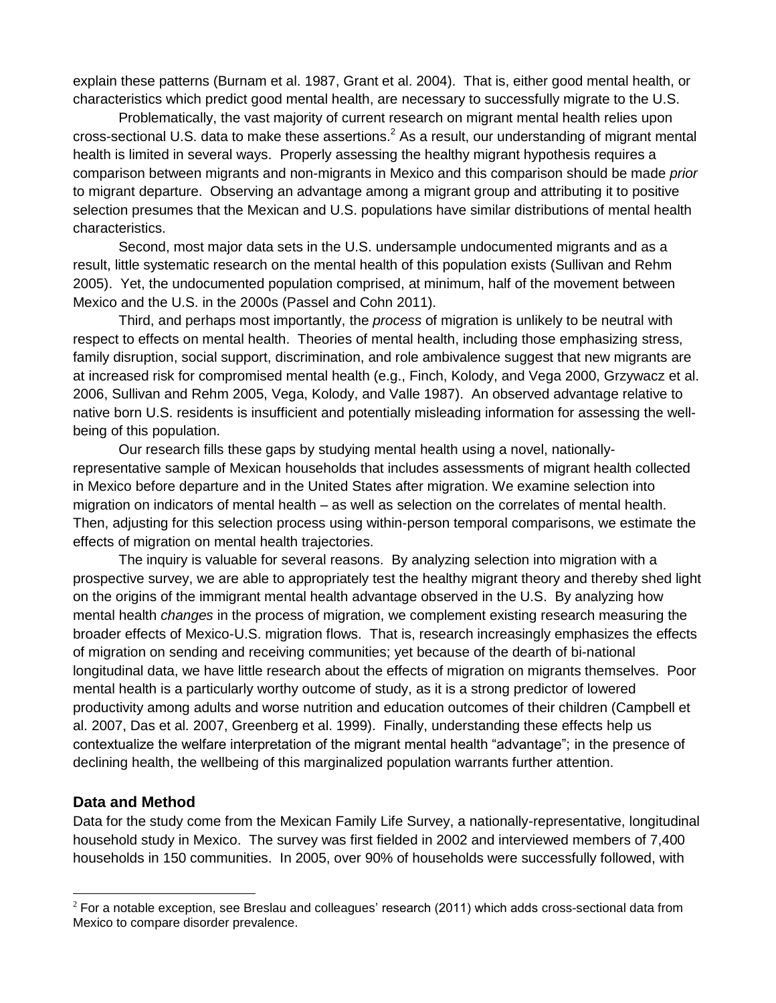explain these patterns (Burnam et al. 1987, Grant et al. 2004). That is, either good mental health, or characteristics which predict good mental health, are necessary to successfully migrate to the U.S.

Problematically, the vast majority of current research on migrant mental health relies upon cross-sectional U.S. data to make these assertions.<sup>2</sup> As a result, our understanding of migrant mental health is limited in several ways. Properly assessing the healthy migrant hypothesis requires a comparison between migrants and non-migrants in Mexico and this comparison should be made *prior* to migrant departure. Observing an advantage among a migrant group and attributing it to positive selection presumes that the Mexican and U.S. populations have similar distributions of mental health characteristics.

Second, most major data sets in the U.S. undersample undocumented migrants and as a result, little systematic research on the mental health of this population exists (Sullivan and Rehm 2005). Yet, the undocumented population comprised, at minimum, half of the movement between Mexico and the U.S. in the 2000s (Passel and Cohn 2011).

Third, and perhaps most importantly, the *process* of migration is unlikely to be neutral with respect to effects on mental health. Theories of mental health, including those emphasizing stress, family disruption, social support, discrimination, and role ambivalence suggest that new migrants are at increased risk for compromised mental health (e.g., Finch, Kolody, and Vega 2000, Grzywacz et al. 2006, Sullivan and Rehm 2005, Vega, Kolody, and Valle 1987). An observed advantage relative to native born U.S. residents is insufficient and potentially misleading information for assessing the wellbeing of this population.

Our research fills these gaps by studying mental health using a novel, nationallyrepresentative sample of Mexican households that includes assessments of migrant health collected in Mexico before departure and in the United States after migration. We examine selection into migration on indicators of mental health – as well as selection on the correlates of mental health. Then, adjusting for this selection process using within-person temporal comparisons, we estimate the effects of migration on mental health trajectories.

The inquiry is valuable for several reasons. By analyzing selection into migration with a prospective survey, we are able to appropriately test the healthy migrant theory and thereby shed light on the origins of the immigrant mental health advantage observed in the U.S. By analyzing how mental health *changes* in the process of migration, we complement existing research measuring the broader effects of Mexico-U.S. migration flows. That is, research increasingly emphasizes the effects of migration on sending and receiving communities; yet because of the dearth of bi-national longitudinal data, we have little research about the effects of migration on migrants themselves. Poor mental health is a particularly worthy outcome of study, as it is a strong predictor of lowered productivity among adults and worse nutrition and education outcomes of their children (Campbell et al. 2007, Das et al. 2007, Greenberg et al. 1999). Finally, understanding these effects help us contextualize the welfare interpretation of the migrant mental health "advantage"; in the presence of declining health, the wellbeing of this marginalized population warrants further attention.

#### **Data and Method**

 $\overline{a}$ 

Data for the study come from the Mexican Family Life Survey, a nationally-representative, longitudinal household study in Mexico. The survey was first fielded in 2002 and interviewed members of 7,400 households in 150 communities. In 2005, over 90% of households were successfully followed, with

 $2$  For a notable exception, see Breslau and colleagues' research (2011) which adds cross-sectional data from Mexico to compare disorder prevalence.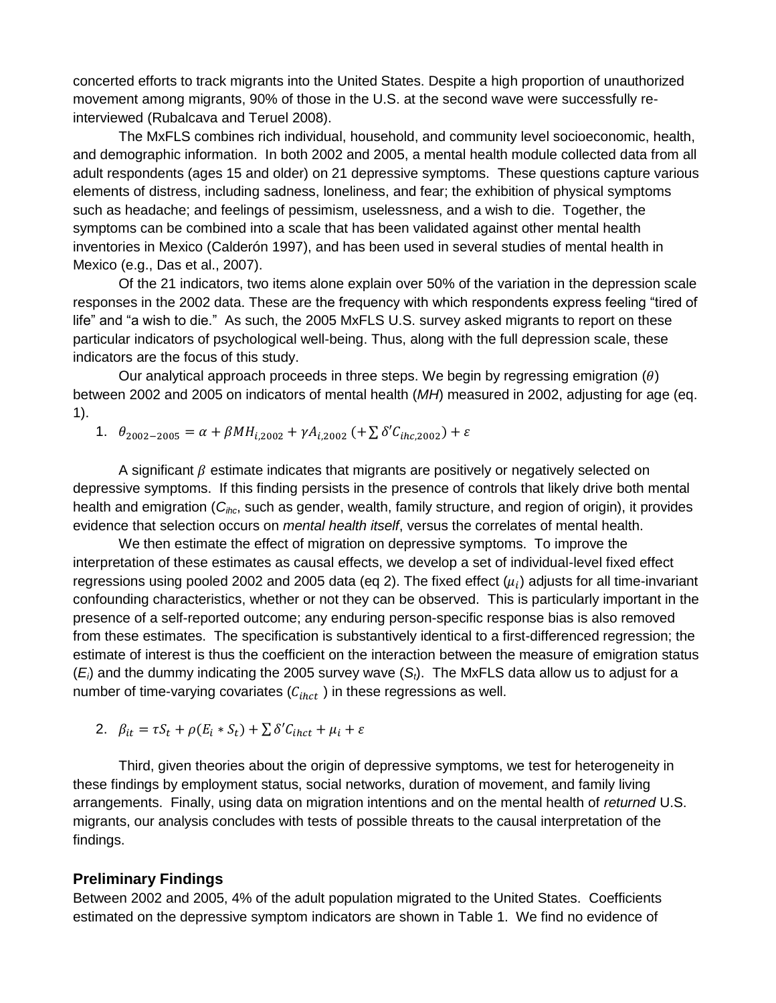concerted efforts to track migrants into the United States. Despite a high proportion of unauthorized movement among migrants, 90% of those in the U.S. at the second wave were successfully reinterviewed (Rubalcava and Teruel 2008).

The MxFLS combines rich individual, household, and community level socioeconomic, health, and demographic information. In both 2002 and 2005, a mental health module collected data from all adult respondents (ages 15 and older) on 21 depressive symptoms. These questions capture various elements of distress, including sadness, loneliness, and fear; the exhibition of physical symptoms such as headache; and feelings of pessimism, uselessness, and a wish to die. Together, the symptoms can be combined into a scale that has been validated against other mental health inventories in Mexico (Calderón 1997), and has been used in several studies of mental health in Mexico (e.g., Das et al., 2007).

Of the 21 indicators, two items alone explain over 50% of the variation in the depression scale responses in the 2002 data. These are the frequency with which respondents express feeling "tired of life" and "a wish to die." As such, the 2005 MxFLS U.S. survey asked migrants to report on these particular indicators of psychological well-being. Thus, along with the full depression scale, these indicators are the focus of this study.

Our analytical approach proceeds in three steps. We begin by regressing emigration  $(\theta)$ between 2002 and 2005 on indicators of mental health (*MH*) measured in 2002, adjusting for age (eq. 1).

1.  $\theta_{2002-2005} = \alpha + \beta M H_{i,2002} + \gamma A_{i,2002}$  (+  $\sum \delta' C_{i h c, 2002}$ ) +  $\varepsilon$ 

A significant  $\beta$  estimate indicates that migrants are positively or negatively selected on depressive symptoms. If this finding persists in the presence of controls that likely drive both mental health and emigration (*Cihc*, such as gender, wealth, family structure, and region of origin), it provides evidence that selection occurs on *mental health itself*, versus the correlates of mental health.

We then estimate the effect of migration on depressive symptoms. To improve the interpretation of these estimates as causal effects, we develop a set of individual-level fixed effect regressions using pooled 2002 and 2005 data (eq 2). The fixed effect ( $\mu_i$ ) adjusts for all time-invariant confounding characteristics, whether or not they can be observed. This is particularly important in the presence of a self-reported outcome; any enduring person-specific response bias is also removed from these estimates. The specification is substantively identical to a first-differenced regression; the estimate of interest is thus the coefficient on the interaction between the measure of emigration status (*Ei*) and the dummy indicating the 2005 survey wave (*St*). The MxFLS data allow us to adjust for a number of time-varying covariates  $(C<sub>ihct</sub>)$  in these regressions as well.

2. 
$$
\beta_{it} = \tau S_t + \rho (E_i * S_t) + \sum \delta' C_{i h c t} + \mu_i + \varepsilon
$$

Third, given theories about the origin of depressive symptoms, we test for heterogeneity in these findings by employment status, social networks, duration of movement, and family living arrangements. Finally, using data on migration intentions and on the mental health of *returned* U.S. migrants, our analysis concludes with tests of possible threats to the causal interpretation of the findings.

#### **Preliminary Findings**

Between 2002 and 2005, 4% of the adult population migrated to the United States. Coefficients estimated on the depressive symptom indicators are shown in Table 1. We find no evidence of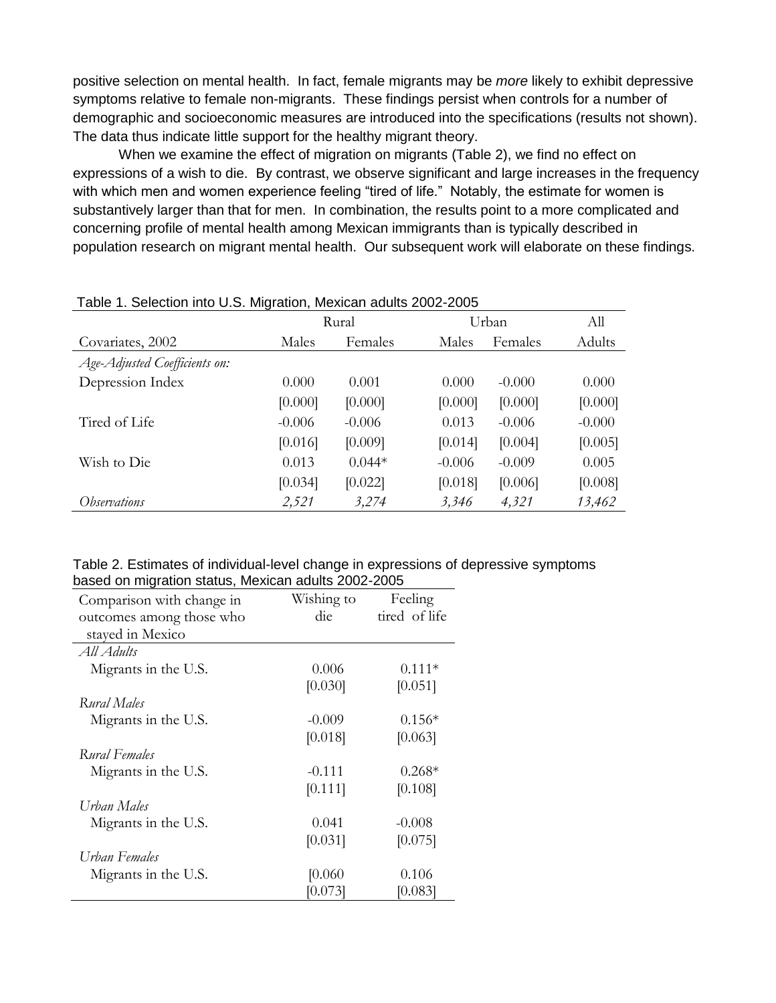positive selection on mental health. In fact, female migrants may be *more* likely to exhibit depressive symptoms relative to female non-migrants. These findings persist when controls for a number of demographic and socioeconomic measures are introduced into the specifications (results not shown). The data thus indicate little support for the healthy migrant theory.

When we examine the effect of migration on migrants (Table 2), we find no effect on expressions of a wish to die. By contrast, we observe significant and large increases in the frequency with which men and women experience feeling "tired of life." Notably, the estimate for women is substantively larger than that for men. In combination, the results point to a more complicated and concerning profile of mental health among Mexican immigrants than is typically described in population research on migrant mental health. Our subsequent work will elaborate on these findings.

| <b>I ADIC 1. OCICUMIT INTO O.O. IMIGRATURI, MICAICAH AQUITS ZUUZ-ZUUJ</b> |          |          |          |          |  |
|---------------------------------------------------------------------------|----------|----------|----------|----------|--|
| Rural                                                                     |          | Urban    |          | All      |  |
| Males                                                                     | Females  | Males    | Females  | Adults   |  |
|                                                                           |          |          |          |          |  |
| 0.000                                                                     | 0.001    | 0.000    | $-0.000$ | 0.000    |  |
| [0.000]                                                                   | [0.000]  | [0.000]  | [0.000]  | [0.000]  |  |
| $-0.006$                                                                  | $-0.006$ | 0.013    | $-0.006$ | $-0.000$ |  |
| [0.016]                                                                   | [0.009]  | [0.014]  | [0.004]  | [0.005]  |  |
| 0.013                                                                     | $0.044*$ | $-0.006$ | $-0.009$ | 0.005    |  |
| [0.034]                                                                   | [0.022]  | [0.018]  | [0.006]  | [0.008]  |  |
| 2,521                                                                     | 3,274    | 3,346    | 4,321    | 13,462   |  |
|                                                                           |          |          |          |          |  |

| Table 1. Selection into U.S. Migration, Mexican adults 2002-2005 |  |
|------------------------------------------------------------------|--|
|------------------------------------------------------------------|--|

|                                                     |  | Table 2. Estimates of individual-level change in expressions of depressive symptoms |  |  |
|-----------------------------------------------------|--|-------------------------------------------------------------------------------------|--|--|
| based on migration status, Mexican adults 2002-2005 |  |                                                                                     |  |  |

| <u>babba bir iniyidildir bididdi, moxibari ddalib 2002 2000</u> |            |               |  |  |  |  |
|-----------------------------------------------------------------|------------|---------------|--|--|--|--|
| Comparison with change in                                       | Wishing to | Feeling       |  |  |  |  |
| outcomes among those who                                        | die        | tired of life |  |  |  |  |
| stayed in Mexico                                                |            |               |  |  |  |  |
| All Adults                                                      |            |               |  |  |  |  |
| Migrants in the U.S.                                            | 0.006      | $0.111*$      |  |  |  |  |
|                                                                 | [0.030]    | [0.051]       |  |  |  |  |
| Rural Males                                                     |            |               |  |  |  |  |
| Migrants in the U.S.                                            | $-0.009$   | $0.156*$      |  |  |  |  |
|                                                                 | [0.018]    | [0.063]       |  |  |  |  |
| Rural Females                                                   |            |               |  |  |  |  |
| Migrants in the U.S.                                            | $-0.111$   | $0.268*$      |  |  |  |  |
|                                                                 | [0.111]    | [0.108]       |  |  |  |  |
| Urban Males                                                     |            |               |  |  |  |  |
| Migrants in the U.S.                                            | 0.041      | $-0.008$      |  |  |  |  |
|                                                                 | [0.031]    | [0.075]       |  |  |  |  |
| Urban Females                                                   |            |               |  |  |  |  |
| Migrants in the U.S.                                            | [0.060]    | 0.106         |  |  |  |  |
|                                                                 | [0.073]    | [0.083]       |  |  |  |  |